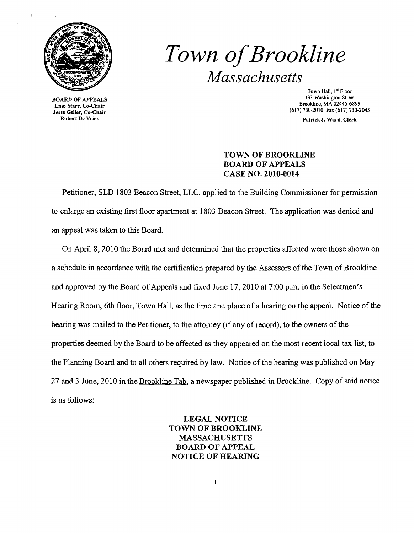

**BOARD OF APPEALS** Robert De Vries **Patrick J. Ward, Clerk** And Clerk **Patrick J. Ward, Clerk** Patrick J. Ward, Clerk

# *Town ofBrookline Massachusetts*

Town Hall, 1<sup>st</sup> Floor<br>333 Washington Street  $\mu$  Brookline, MA 02445-6899<br>
Enid Starr, Co-Chair<br>
Jesse Geller, Co-Chair (617) 730-2010 Fax (617) 730-2043

# TOWN OF BROOKLINE BOARD OF APPEALS CASE NO. 2010-0014

Petitioner, SLD 1803 Beacon Street, LLC, applied to the Building Commissioner for pennission to enlarge an existing first floor apartment at 1803 Beacon Street. The application was denied and an appeal was taken to this Board.

On April 8,2010 the Board met and determined that the properties affected were those shown on a schedule in accordance with the certification prepared by the Assessors of the Town of Brookline and approved by the Board of Appeals and fixed June 17, 2010 at 7:00 p.m. in the Selectmen's Hearing Room, 6th floor, Town Hall, as the time and place of a hearing on the appeal. Notice of the hearing was mailed to the Petitioner, to the attomey (if any of record), to the owners of the properties deemed by the Board to be affected as they appeared on the most recent local tax list, to the Planning Board and to all others required by law. Notice of the hearing was published on May 27 and 3 June, 2010 in the Brookline Tab, a newspaper published in Brookline. Copy of said notice is as follows:

> LEGAL NOTICE TOWN OF BROOKLINE MASSACHUSETTS BOARD OF APPEAL NOTICE OF HEARING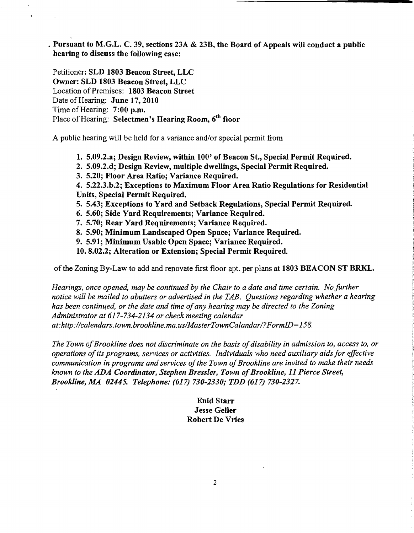. Pursuant to M.G.L. C. 39, sections 23A  $\&$  23B, the Board of Appeals will conduct a public hearing to discuss the following case:

Petitioner: SLD 1803 Beacon Street, LLC Owner: SLD 1803 Beacon Street, LLC Location of Premises: 1803 Beacon Street Date of Hearing: June 17, 2010 Time of Hearing: 7:00 p.m. Place of Hearing: Selectmen's Hearing Room, 6<sup>th</sup> floor

 $\overline{\mathbf{z}}$ 

A public hearing will be held for a variance and/or special pennit from

1. 5.09.2.a; Design Review, within 100' of Beacon St., Special Permit Required.

- 2. 5.09.2.d; Design Review, multiple dwellings, Special Permit Required.
- 3. 5.20; Floor Area Ratio; Variance Required.

4. 5.22.3.b.2; Exceptions to Maximum Floor Area Ratio Regulations for Residential Units, Special Permit Required.

- 5. 5.43; Exceptions to Yard and Setback Regulations, Special Permit Required
- 6. 5.60; Side Yard Requirements; Variance Required.
- 7. 5.70; Rear Yard Requirements; Variance Required.
- 8. 5.90; Minimum Landscaped Open Space; Variance Required.
- 9. 5.91; Minimum Usable Open Space; Variance Required.
- 10. 8.02.2; Alteration or Extension; Special Permit Required.

of the Zoning By-Law to add and renovate first floor apt. per plans at 1803 BEACON ST BRKL.

*Hearings. once opened, may be continued by the Chair to a date and time certain. No further notice will be mailed to abutters or advertised in the TAB. Questions regarding whether a hearing has been continued, or the date and time ofany hearing may be directed to the Zoning Administrator at* 617-734-2134 *or check meeting calendar at:http://calendars.town.brookline.ma.usIMasterTownCalandarl?FormID=158.* 

The Town of Brookline does not discriminate on the basis of disability in admission to, access to, or *operations ofits programs, services or activities. Individuals who need auxiliary aids for effective*  communication in programs and services of the Town of Brookline are invited to make their needs *known to the ADA Coordinator, Stephen Bressler, Town of Brookline, 11 Pierce Street, Brookline, MA 02445. Telephone:* (617) *730-2330,. TDD* (617) *730-2327.* 

> Enid Starr Jesse Geller Robert De Vries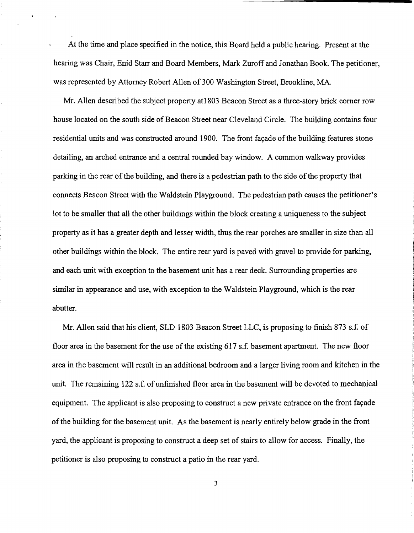At the time and place specified in the notice, this Board held a public hearing. Present at the hearing was Chair, Enid Starr and Board Members, Mark Zuroff and Jonathan Book. The petitioner, was represented by Attorney Robert Allen of 300 Washington Street, Brookline, MA.

Mr. Allen described the subject property atl803 Beacon Street as a three-story brick comer row house located on the south side of Beacon Street near Cleveland Circle. The building contains four residential units and was constructed around 1900. The front facade of the building features stone detailing, an arched entrance and a central rounded bay window. A common walkway provides parking in the rear of the building, and there is a pedestrian path to the side of the property that connects Beacon Street with the Waldstein Playground. The pedestrian path causes the petitioner's lot to be smaller that all the other buildings within the block creating a uniqueness to the subject property as it has a greater depth and lesser width, thus the rear porches are smaller in size than all other buildings within the block. The entire rear yard is paved with gravel to provide for parking, and each unit with exception to the basement unit has a rear deck. Surrounding properties are similar in appearance and use, with exception to the Waldstein Playground, which is the rear abutter.

Mr. Allen said that his client, SLD 1803 Beacon Street LLC, is proposing to finish 873 s.f. of floor area in the basement for the use of the existing 617 s.f. basement apartment. The new floor area in the basement will result in an additional bedroom and a larger living room and kitchen in the unit. The remaining 122 s.f. of unfinished floor area in the basement will be devoted to mechanical equipment. The applicant is also proposing to construct a new private entrance on the front facade ofthe building for the basement unit. As the basement is nearly entirely below grade in the front yard, the applicant is proposing to construct a deep set of stairs to allow for access. Finally, the petitioner is also proposing to construct a patio in the rear yard.

3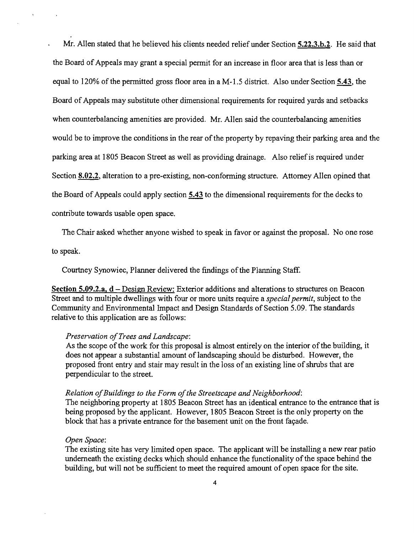Mr. Allen stated that he believed his clients needed relief under Section 5.22.3.b.2. He said that the Board of Appeals may grant a special permit for an increase in floor area that is less than or equal to 120% of the permitted gross floor area in a M-l.5 district. Also under Section 5.43, the Board of Appeals may substitute other dimensional requirements for required yards and setbacks when counterbalancing amenities are provided. Mr. Allen said the counterbalancing amenities would be to improve the conditions in the rear of the property by repaving their parking area and the parking area at 1805 Beacon Street as well as providing drainage. Also relief is required under Section 8.02.2, alteration to a pre-existing, non-conforming structure. Attorney Allen opined that the Board of Appeals could apply section 5.43 to the dimensional requirements for the decks to contribute towards usable open space.

The Chair asked whether anyone wished to speak in favor or against the proposal. No one rose

to speak.

Courtney Synowiec, Planner delivered the findings of the Planning Staff.

Section 5.09.2.a, d – Design Review: Exterior additions and alterations to structures on Beacon Street and to multiple dwellings with four or more units require a *special permit,* subject to the Community and Environmental Impact and Design Standards of Section 5.09. The standards relative to this application are as follows:

#### *Preservation ofTrees and Landscape:*

As the scope of the work for this proposal is almost entirely on the interior of the building, it does not appear a substantial amount of landscaping should be disturbed. However, the proposed front entry and stair may result in the loss of an existing line of shrubs that are perpendicular to the street.

### *Relation of Buildings to the Form of the Streetscape and Neighborhood:*

The neighboring property at 1805 Beacon Street has an identical entrance to the entrance that is being proposed by the applicant. However, 1805 Beacon Street is the only property on the block that has a private entrance for the basement unit on the front fayade.

#### *Open Space:*

The existing site has very limited open space. The applicant will be installing a new rear patio underneath the existing decks which should enhance the functionality of the space behind the building, but will not be sufficient to meet the required amount of open space for the site.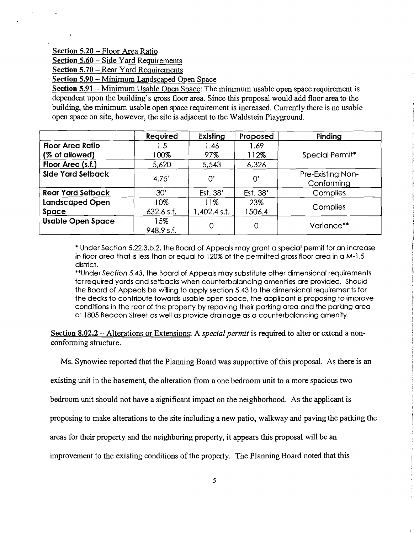## Section 5.20 - Floor Area Ratio

Section 5.60 - Side Yard Requirements

Section 5.70 – Rear Yard Requirements

Section 5.90 - Minimum Landscaped Open Space

Section 5.91 - Minimum Usable Open Space: The minimum usable open space requirement is dependent upon the building's gross floor area. Since this proposal would add floor area to the building, the minimum usable open space requirement is increased. Currently there is no usable open space on site, however, the site is adjacent to the Waldstein Playground.

|                          | Required          | Existing       | Proposed | <b>Finding</b>                  |
|--------------------------|-------------------|----------------|----------|---------------------------------|
| <b>Floor Area Ratio</b>  | .5                | 1.46           | 1.69     |                                 |
| (% of allowed)           | 100%              | 97%            | 112%     | Special Permit*                 |
| Floor Area (s.f.)        | 5,620             | 5,543          | 6,326    |                                 |
| Side Yard Setback        | 4.75'             | O'             | O'       | Pre-Existing Non-<br>Conforming |
| <b>Rear Yard Setback</b> | 30'               | Est. 38'       | Est. 38' | Complies                        |
| <b>Landscaped Open</b>   | 10%               | 11%            | 23%      | Complies                        |
| <b>Space</b>             | $632.6$ s.f.      | $1,402.4$ s.f. | 1506.4   |                                 |
| <b>Usable Open Space</b> | 15%<br>948.9 s.f. | $\Omega$       | 0        | Variance**                      |

\* Under Section 5.22.3.b.2, the Board of Appeals may grant a special permit for an increase in floor area that is less than or equal to 120% of the permitted gross floor area in a M-l.5 district.

\*\*Under Section 5.43, the Board of Appeals may substitute other dimensional requirements for required yards and setbacks when counterbalancing amenities are provided. Should the Board of Appeals be willing to apply section 5.43 to the dimensional requirements for the decks to contribute towards usable open space, the applicant is proposing to improve conditions in the rear of the property by repaving their parking area and the parking area at 1805 Beacon Street as well as provide drainage as a counterbalancing amenity.

Section 8.02.2 - Alterations or Extensions: A *special permit* is required to alter or extend a nonconforming structure.

Ms. Synowiec reported that the Planning Board was supportive of this proposal. As there is an

existing unit in the basement, the alteration from a one bedroom unit to a more spacious two

bedroom unit should not have a significant impact on the neighborhood. As the applicant is

proposing to make alterations to the site including a new patio, walkway and paving the parking the

areas for their property and the neighboring property, it appears this proposal will be an

improvement to the existing conditions of the property. The Planning Board noted that this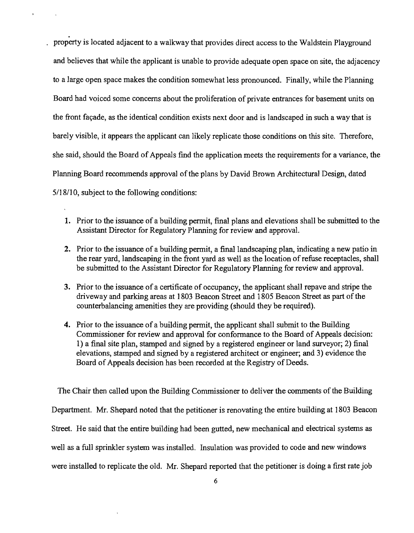property is located adjacent to a walkway that provides direct access to the Waldstein Playground and believes that while the applicant is unable to provide adequate open space on site, the adjacency to a large open space makes the condition somewhat less pronounced. Finally, while the Planning Board had voiced some concerns about the proliferation of private entrances for basement units on the front facade, as the identical condition exists next door and is landscaped in such a way that is barely visible, it appears the applicant can likely replicate those conditions on this site. Therefore, she said, should the Board of Appeals find the application meets the requirements for a variance, the Planning Board recommends approval of the plans by David Brown Architectural Design, dated 5/18/10, subject to the following conditions:

- 1. Prior to the issuance of a building permit, final plans and elevations shall be submitted to the Assistant Director for Regulatory Planning for review and approval.
- 2. Prior to the issuance of a building permit, a final landscaping plan, indicating a new patio in the rear yard, landscaping in the front yard as well as the location of refuse receptacles, shall be submitted to the Assistant Director for Regulatory Planning for review and approval.
- 3. Prior to the issuance of a certificate of occupancy, the applicant shall repave and stripe the driveway and parking areas at 1803 Beacon Street and 1805 Beacon Street as part of the counterbalancing amenities they are providing (should they be required).
- 4. Prior to the issuance of a building permit, the applicant shall submit to the Building Commissioner for review and approval for conformance to the Board of Appeals decision: 1) a final site plan, stamped and signed by a registered engineer or land surveyor; 2) final elevations, stamped and signed by a registered architect or engineer; and 3) evidence the Board of Appeals decision has been recorded at the Registry of Deeds.

The Chair then called upon the Building Commissioner to deliver the comments of the Building Department. Mr. Shepard noted that the petitioner is renovating the entire building at 1803 Beacon Street. He said that the entire building had been gutted, new mechanical and electrical systems as well as a full sprinkler system was installed. Insulation was provided to code and new windows were installed to replicate the old. Mr. Shepard reported that the petitioner is doing a first rate job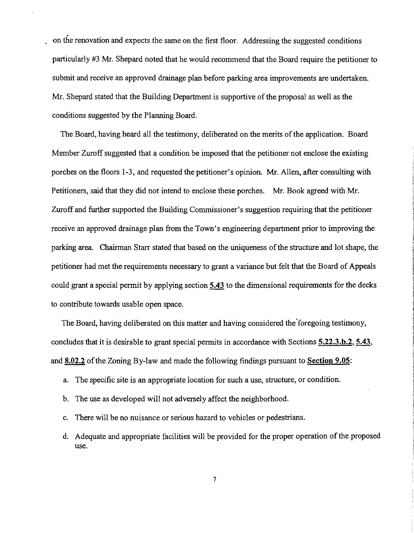on the renovation and expects the same on the first floor. Addressing the suggested conditions particularly #3 Mr. Shepard noted that he would recommend that the Board require the petitioner to submit and receive an approved drainage plan before parking area improvements are undertaken. Mr. Shepard stated that the Building Department is supportive of the proposal as well as the conditions suggested by the Planning Board.

The Board, having heard all the testimony, deliberated on the merits of the application. Board Member Zuroff suggested that a condition be imposed that the petitioner not enclose the existing porches on the floors 1-3, and requested the petitioner's opinion. Mr. Allen, after consulting with Petitioners, said that they did not intend to enclose these porches. Mr. Book agreed with Mr. Zuroff and further supported the Building Commissioner's suggestion requiring that the petitioner receive an approved drainage plan from the Town's engineering department prior to improving the parking area. Chairman Starr stated that based on the uniqueness ofthe structure and lot shape, the petitioner had met the requirements necessary to grant a variance but felt that the Board of Appeals could grant a special permit by applying section 5.43 to the dimensional requirements for the decks to contribute towards usable open space.

The Board, having deliberated on this matter and having considered the'foregoing testimony, concludes that it is desirable to grant special permits in accordance with Sections 5.22.3.b.2, 5.43, and 8.02.2 of the Zoning By-law and made the following findings pursuant to Section 9.05:

- a. The specific site is an appropriate location for such a use, structure, or condition.
- b. The use as developed will not adversely affect the neighborhood.
- c. There will be no nuisance or serious hazard to vehicles or pedestrians.
- d. Adequate and appropriate facilities will be provided for the proper operation of the proposed use.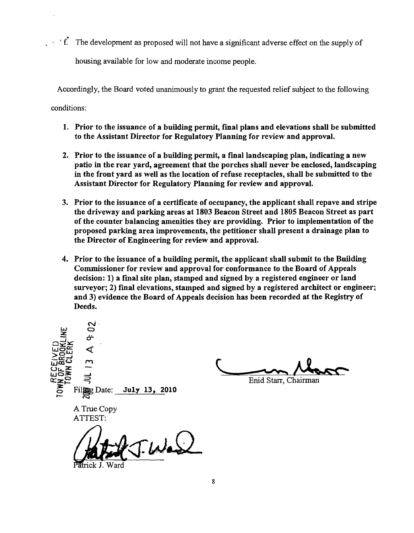$\cdot$  ' f. The development as proposed will not have a significant adverse effect on the supply of housing available for low and moderate income people.

Accordingly, the Board voted unanimously to grant the requested relief subject to the following conditions:

- 1. Prior to the issuance of a building permit, final plans and elevations shall be submitted to the Assistant Director for Regulatory Planning for review and approval.
- 2. Prior to the issuance of a building permit, a final landscaping plan, indicating a new patio in the rear yard, agreement that the porches shall never be enclosed, landscaping in the front yard as well as the location of refuse receptacles, shall be submitted to the Assistant Director for Regulatory Planning for review and approval.
- 3. Prior to the issuance of a certificate of occupancy, the applicant shall repave and stripe the driveway and parking areas at 1803 Beacon Street and 1805 Beacon Street as part of the counter balancing amenities they are providing. Prior to implementation of the proposed parking area improvements, the petitioner shall present a drainage plan to the Director of Engineering for review and approval.
- 4. Prior to the issuance of a building permit, the applicant shall submit to the Building Commissioner for review and approval for conformance to the Board of Appeals decision: 1) a fmal site plan, stamped and signed by a registered engineer or land surveyor; 2) final elevations, stamped and signed by a registered architect or engineer; and 3) evidence the Board of Appeals decision has been recorded at the Registry of Deeds.

 $\vec{\boldsymbol{\omega}}$ o Enid Starr, Chairman Files Date: July 13, 2010 A True Copy ATTEST: J. Was